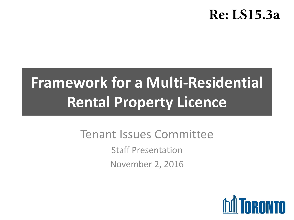### **Re: LS15.3a**

## **Framework for a Multi-Residential Rental Property Licence**

### Tenant Issues Committee

Staff Presentation November 2, 2016

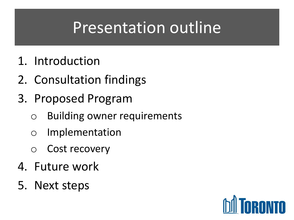### Presentation outline

- 1. Introduction
- 2. Consultation findings
- 3. Proposed Program
	- o Building owner requirements
	- o Implementation
	- o Cost recovery
- 4. Future work
- 5. Next steps

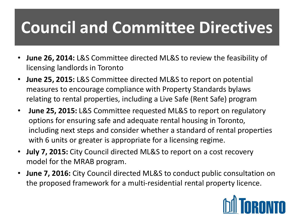## **Council and Committee Directives**

- **June 26, 2014:** L&S Committee directed ML&S to review the feasibility of licensing landlords in Toronto
- **June 25, 2015:** L&S Committee directed ML&S to report on potential measures to encourage compliance with Property Standards bylaws relating to rental properties, including a Live Safe (Rent Safe) program
- **June 25, 2015:** L&S Committee requested ML&S to report on regulatory options for ensuring safe and adequate rental housing in Toronto, including next steps and consider whether a standard of rental properties with 6 units or greater is appropriate for a licensing regime.
- **July 7, 2015:** City Council directed ML&S to report on a cost recovery model for the MRAB program.
- **June 7, 2016:** City Council directed ML&S to conduct public consultation on the proposed framework for a multi-residential rental property licence.

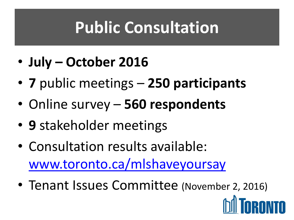## **Public Consultation**

- **July – October 2016**
- **7** public meetings **250 participants**
- Online survey **560 respondents**
- **9** stakeholder meetings
- Consultation results available: [www.toronto.ca/mlshaveyoursay](http://www.toronto.ca/mlshaveyoursay)
- Tenant Issues Committee (November 2, 2016)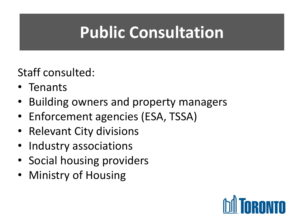#### **Public Consultation Public Consultation**

Staff consulted:

- Tenants
- Building owners and property managers
- Enforcement agencies (ESA, TSSA)
- Relevant City divisions
- Industry associations
- Social housing providers
- Ministry of Housing

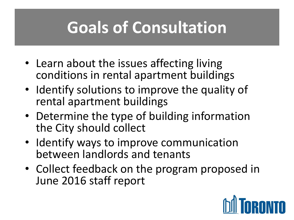## **Goals of Consultation**

- Learn about the issues affecting living conditions in rental apartment buildings
- Identify solutions to improve the quality of rental apartment buildings
- Determine the type of building information the City should collect
- Identify ways to improve communication between landlords and tenants
- Collect feedback on the program proposed in June 2016 staff report

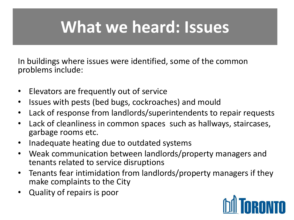## **What we heard: Issues**

In buildings where issues were identified, some of the common problems include:

- Elevators are frequently out of service
- Issues with pests (bed bugs, cockroaches) and mould
- Lack of response from landlords/superintendents to repair requests
- Lack of cleanliness in common spaces such as hallways, staircases, garbage rooms etc.
- Inadequate heating due to outdated systems
- Weak communication between landlords/property managers and tenants related to service disruptions
- Tenants fear intimidation from landlords/property managers if they make complaints to the City
- Quality of repairs is poor

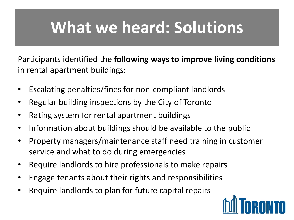### **What we heard: Solutions**

Participants identified the **following ways to improve living conditions**  in rental apartment buildings:

- Escalating penalties/fines for non-compliant landlords
- Regular building inspections by the City of Toronto
- Rating system for rental apartment buildings
- Information about buildings should be available to the public
- Property managers/maintenance staff need training in customer service and what to do during emergencies
- Require landlords to hire professionals to make repairs
- Engage tenants about their rights and responsibilities
- Require landlords to plan for future capital repairs

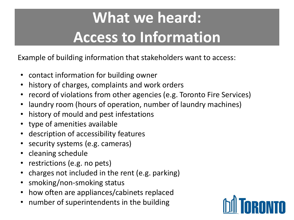## **What we heard: Access to Information**

Example of building information that stakeholders want to access:

- contact information for building owner
- history of charges, complaints and work orders
- record of violations from other agencies (e.g. Toronto Fire Services)
- laundry room (hours of operation, number of laundry machines)
- history of mould and pest infestations
- type of amenities available
- description of accessibility features
- security systems (e.g. cameras)
- cleaning schedule
- restrictions (e.g. no pets)
- charges not included in the rent (e.g. parking)
- smoking/non-smoking status
- how often are appliances/cabinets replaced
- number of superintendents in the building

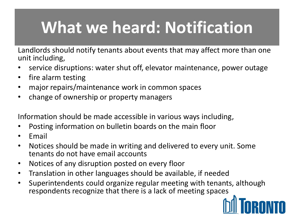## **What we heard: Notification**

Landlords should notify tenants about events that may affect more than one unit including,

- service disruptions: water shut off, elevator maintenance, power outage
- fire alarm testing
- major repairs/maintenance work in common spaces
- change of ownership or property managers

Information should be made accessible in various ways including,

- Posting information on bulletin boards on the main floor
- Email
- Notices should be made in writing and delivered to every unit. Some tenants do not have email accounts
- Notices of any disruption posted on every floor
- Translation in other languages should be available, if needed
- Superintendents could organize regular meeting with tenants, although respondents recognize that there is a lack of meeting spaces

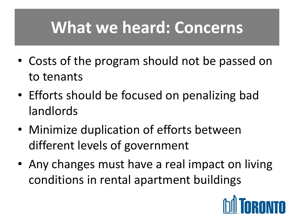### **What we heard: Concerns**

- Costs of the program should not be passed on to tenants
- Efforts should be focused on penalizing bad landlords
- Minimize duplication of efforts between different levels of government
- Any changes must have a real impact on living conditions in rental apartment buildings

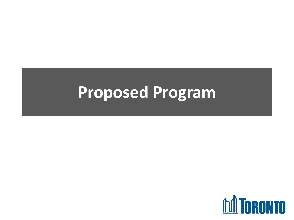### **Proposed Program**

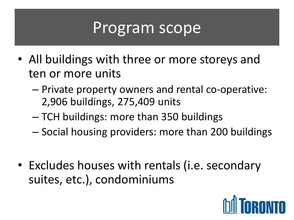### Program scope

- All buildings with three or more storeys and ten or more units
	- Private property owners and rental co-operative: 2,906 buildings, 275,409 units
	- TCH buildings: more than 350 buildings
	- Social housing providers: more than 200 buildings
- Excludes houses with rentals (i.e. secondary suites, etc.), condominiums

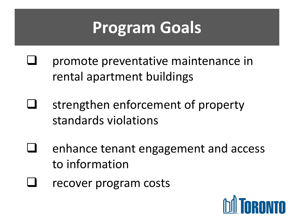### **Program Goals**

- promote preventative maintenance in rental apartment buildings
- strengthen enforcement of property standards violations
- enhance tenant engagement and access to information
- recover program costs

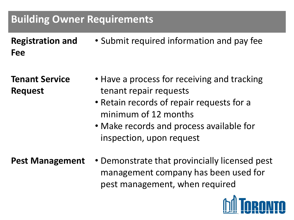#### **Building Owner Requirements**

**Registration and Fee** • Submit required information and pay fee

**Tenant Service Request**

- Have a process for receiving and tracking tenant repair requests
- Retain records of repair requests for a minimum of 12 months
- Make records and process available for inspection, upon request
- **Pest Management** Demonstrate that provincially licensed pest management company has been used for pest management, when required

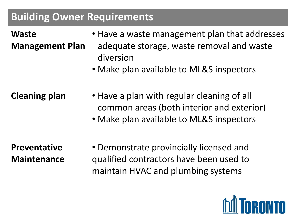#### **Building Owner Requirements**

#### **Waste Management Plan**

- Have a waste management plan that addresses adequate storage, waste removal and waste diversion
- Make plan available to ML&S inspectors
- **Cleaning plan** Have a plan with regular cleaning of all common areas (both interior and exterior)
	- Make plan available to ML&S inspectors

**Preventative Maintenance** • Demonstrate provincially licensed and qualified contractors have been used to maintain HVAC and plumbing systems

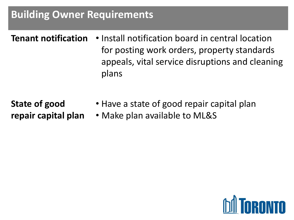#### **Building Owner Requirements**

- **Tenant notification** Install notification board in central location for posting work orders, property standards appeals, vital service disruptions and cleaning plans
- **State of good repair capital plan**
- Have a state of good repair capital plan
	- Make plan available to ML&S

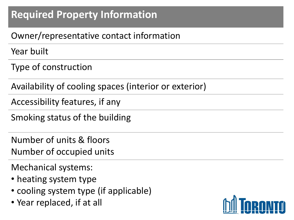### **Required Property Information**

#### Owner/representative contact information

Year built

Type of construction

Availability of cooling spaces (interior or exterior)

Accessibility features, if any

Smoking status of the building

Number of units & floors Number of occupied units

Mechanical systems:

- heating system type
- cooling system type (if applicable)
- Year replaced, if at all

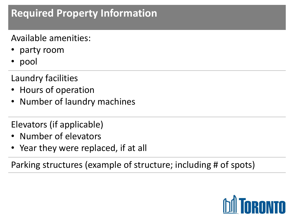### **Required Property Information**

Available amenities:

- party room
- pool

Laundry facilities

- Hours of operation
- Number of laundry machines

Elevators (if applicable)

- Number of elevators
- Year they were replaced, if at all

Parking structures (example of structure; including # of spots)

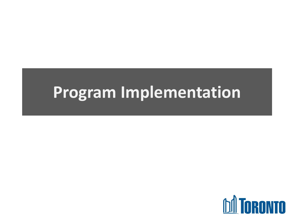### **Program Implementation**

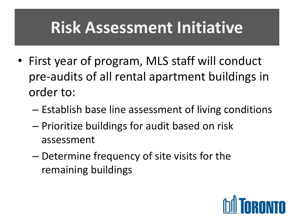### **Risk Assessment Initiative**

- First year of program, MLS staff will conduct pre-audits of all rental apartment buildings in order to:
	- Establish base line assessment of living conditions
	- Prioritize buildings for audit based on risk assessment
	- Determine frequency of site visits for the remaining buildings

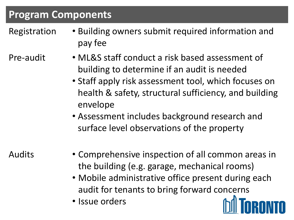#### **Program Components**

Registration • Building owners submit required information and pay fee

- Pre-audit ML&S staff conduct a risk based assessment of building to determine if an audit is needed
	- Staff apply risk assessment tool, which focuses on health & safety, structural sufficiency, and building envelope
	- Assessment includes background research and surface level observations of the property

- Audits Comprehensive inspection of all common areas in the building (e.g. garage, mechanical rooms)
	- Mobile administrative office present during each audit for tenants to bring forward concerns
	- Issue orders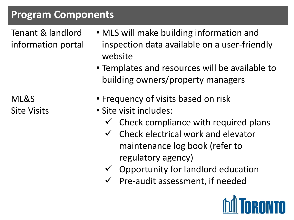#### **Program Components**

Tenant & landlord information portal

- MLS will make building information and inspection data available on a user-friendly website
- Templates and resources will be available to building owners/property managers

ML&S Site Visits

- Frequency of visits based on risk
- Site visit includes:
	- $\checkmark$  Check compliance with required plans
	- $\checkmark$  Check electrical work and elevator maintenance log book (refer to regulatory agency)
	- $\checkmark$  Opportunity for landlord education
	- $\checkmark$  Pre-audit assessment, if needed

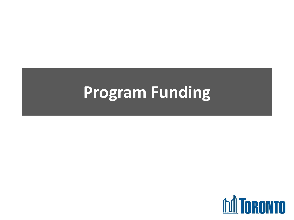### **Program Funding**

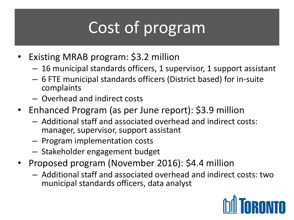# Cost of program

- Existing MRAB program: \$3.2 million
	- 16 municipal standards officers, 1 supervisor, 1 support assistant
	- 6 FTE municipal standards officers (District based) for in-suite complaints
	- Overhead and indirect costs
- Enhanced Program (as per June report): \$3.9 million
	- Additional staff and associated overhead and indirect costs: manager, supervisor, support assistant
	- Program implementation costs
	- Stakeholder engagement budget
- Proposed program (November 2016): \$4.4 million
	- Additional staff and associated overhead and indirect costs: two municipal standards officers, data analyst

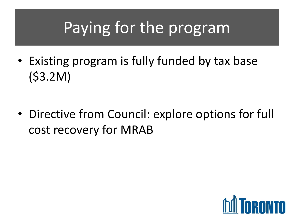## Paying for the program

- Existing program is fully funded by tax base (\$3.2M)
- Directive from Council: explore options for full cost recovery for MRAB

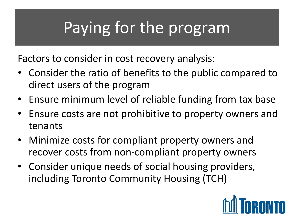## Paying for the program

Factors to consider in cost recovery analysis:

- Consider the ratio of benefits to the public compared to direct users of the program
- Ensure minimum level of reliable funding from tax base
- Ensure costs are not prohibitive to property owners and tenants
- Minimize costs for compliant property owners and recover costs from non-compliant property owners
- Consider unique needs of social housing providers, including Toronto Community Housing (TCH)

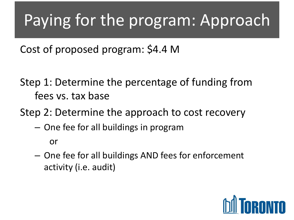## Paying for the program: Approach

Cost of proposed program: \$4.4 M

Step 1: Determine the percentage of funding from fees vs. tax base

Step 2: Determine the approach to cost recovery

– One fee for all buildings in program

or

– One fee for all buildings AND fees for enforcement activity (i.e. audit)

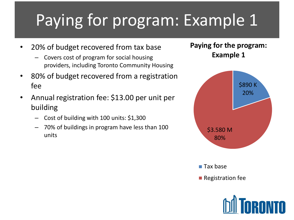# Paying for program: Example 1

- 20% of budget recovered from tax base
	- Covers cost of program for social housing providers, including Toronto Community Housing
- 80% of budget recovered from a registration fee
- Annual registration fee: \$13.00 per unit per building
	- Cost of building with 100 units: \$1,300
	- 70% of buildings in program have less than 100 units

#### **Paying for the program: Example 1**



 $\blacksquare$  Tax base

**Registration fee** 

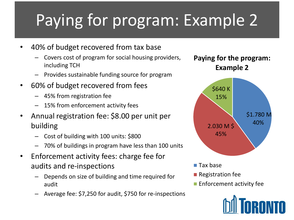# Paying for program: Example 2

- 40% of budget recovered from tax base
	- Covers cost of program for social housing providers, including TCH
	- Provides sustainable funding source for program
- 60% of budget recovered from fees
	- 45% from registration fee
	- 15% from enforcement activity fees
- Annual registration fee: \$8.00 per unit per building
	- Cost of building with 100 units: \$800
	- 70% of buildings in program have less than 100 units
- Enforcement activity fees: charge fee for audits and re-inspections
	- Depends on size of building and time required for audit
	- Average fee: \$7,250 for audit, \$750 for re-inspections

**Paying for the program: Example 2**



- Tax base
- $\blacksquare$  Registration fee
- **Enforcement activity fee**

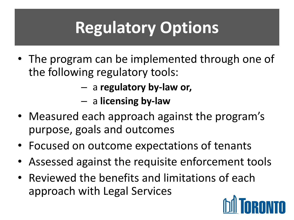# **Regulatory Options**

- The program can be implemented through one of the following regulatory tools:
	- a **regulatory by-law or,**
	- a **licensing by-law**
- Measured each approach against the program's purpose, goals and outcomes
- Focused on outcome expectations of tenants
- Assessed against the requisite enforcement tools
- Reviewed the benefits and limitations of each approach with Legal Services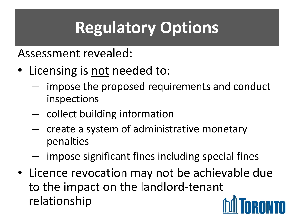# **Regulatory Options**

Assessment revealed:

- Licensing is not needed to:
	- impose the proposed requirements and conduct inspections
	- collect building information
	- create a system of administrative monetary penalties
	- impose significant fines including special fines
- Licence revocation may not be achievable due to the impact on the landlord-tenant relationship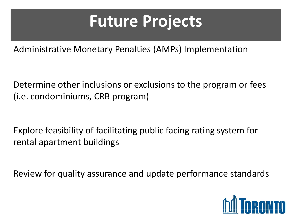## **Future Projects**

Administrative Monetary Penalties (AMPs) Implementation

Determine other inclusions or exclusions to the program or fees (i.e. condominiums, CRB program)

Explore feasibility of facilitating public facing rating system for rental apartment buildings

Review for quality assurance and update performance standards